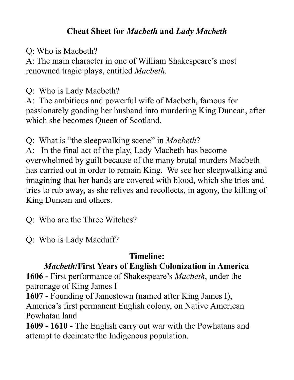### **Cheat Sheet for** *Macbeth* **and** *Lady Macbeth*

Q: Who is Macbeth?

A: The main character in one of William Shakespeare's most renowned tragic plays, entitled *Macbeth.*

Q: Who is Lady Macbeth?

A: The ambitious and powerful wife of Macbeth, famous for passionately goading her husband into murdering King Duncan, after which she becomes Queen of Scotland.

Q: What is "the sleepwalking scene" in *Macbeth*?

A: In the final act of the play, Lady Macbeth has become overwhelmed by guilt because of the many brutal murders Macbeth has carried out in order to remain King. We see her sleepwalking and imagining that her hands are covered with blood, which she tries and tries to rub away, as she relives and recollects, in agony, the killing of King Duncan and others.

Q: Who are the Three Witches?

Q: Who is Lady Macduff?

## **Timeline:**

# *Macbeth***/First Years of English Colonization in America**

**1606 -** First performance of Shakespeare's *Macbeth*, under the patronage of King James I

**1607 -** Founding of Jamestown (named after King James I), America's first permanent English colony, on Native American Powhatan land

**1609 - 1610 -** The English carry out war with the Powhatans and attempt to decimate the Indigenous population.